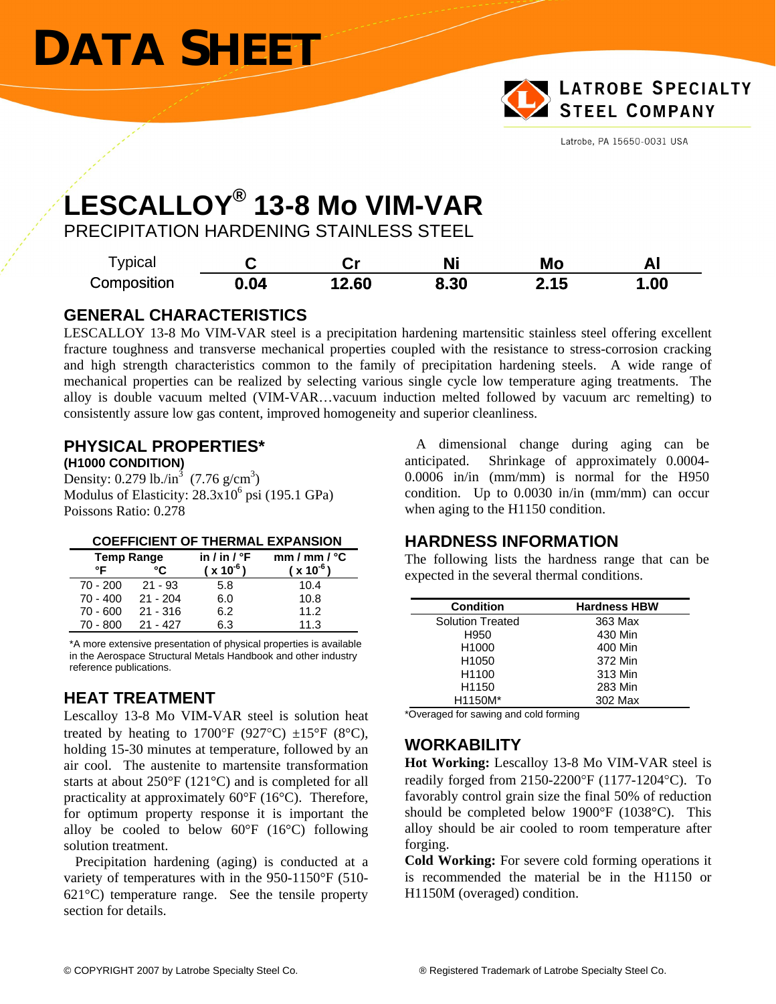# **DATA SHEET**



Latrobe, PA 15650-0031 USA

## **LESCALLOY® 13-8 Mo VIM-VAR**

PRECIPITATION HARDENING STAINLESS STEEL

| <sup>-</sup> ypical |      | ∽…    | Ni   | Mo   | ΑI  |
|---------------------|------|-------|------|------|-----|
| Composition         | 0.04 | 12.60 | 8.30 | 2.15 | .00 |

#### **GENERAL CHARACTERISTICS**

LESCALLOY 13-8 Mo VIM-VAR steel is a precipitation hardening martensitic stainless steel offering excellent fracture toughness and transverse mechanical properties coupled with the resistance to stress-corrosion cracking and high strength characteristics common to the family of precipitation hardening steels. A wide range of mechanical properties can be realized by selecting various single cycle low temperature aging treatments. The alloy is double vacuum melted (VIM-VAR…vacuum induction melted followed by vacuum arc remelting) to consistently assure low gas content, improved homogeneity and superior cleanliness.

#### **PHYSICAL PROPERTIES\* (H1000 CONDITION)**

Density: 0.279 lb./in<sup>3</sup> (7.76 g/cm<sup>3</sup>) Modulus of Elasticity:  $28.3x10^6$  psi (195.1 GPa) Poissons Ratio: 0.278

| <b>Temp Range</b> |            | in / in / $\degree$ F | $mm/mm /$ °C  |  |
|-------------------|------------|-----------------------|---------------|--|
| ∘г                | °۲         | $(x 10^{-6})$         | $(x 10^{-6})$ |  |
| 70 - 200          | $21 - 93$  | 5.8                   | 10.4          |  |
| $70 - 400$        | $21 - 204$ | 6.0                   | 10.8          |  |
| $70 - 600$        | $21 - 316$ | 6.2                   | 11.2          |  |
| 70 - 800          | $21 - 427$ | 6.3                   | 11.3          |  |

\*A more extensive presentation of physical properties is available in the Aerospace Structural Metals Handbook and other industry reference publications.

#### **HEAT TREATMENT**

Lescalloy 13-8 Mo VIM-VAR steel is solution heat treated by heating to 1700 $\mathrm{P}$  (927 $\mathrm{C}$ )  $\pm 15 \mathrm{P}$  (8 $\mathrm{C}$ ), holding 15-30 minutes at temperature, followed by an air cool. The austenite to martensite transformation starts at about 250°F (121°C) and is completed for all practicality at approximately 60°F (16°C). Therefore, for optimum property response it is important the alloy be cooled to below 60°F (16°C) following solution treatment.

 Precipitation hardening (aging) is conducted at a variety of temperatures with in the 950-1150°F (510- 621°C) temperature range. See the tensile property section for details.

A dimensional change during aging can be anticipated. Shrinkage of approximately 0.0004- 0.0006 in/in (mm/mm) is normal for the H950 condition. Up to 0.0030 in/in (mm/mm) can occur when aging to the H1150 condition.

#### **HARDNESS INFORMATION**

The following lists the hardness range that can be expected in the several thermal conditions.

| <b>Condition</b>        | <b>Hardness HBW</b> |  |  |
|-------------------------|---------------------|--|--|
|                         |                     |  |  |
| <b>Solution Treated</b> | 363 Max             |  |  |
| H950                    | 430 Min             |  |  |
| H <sub>1000</sub>       | 400 Min             |  |  |
| H <sub>1050</sub>       | 372 Min             |  |  |
| H <sub>1100</sub>       | 313 Min             |  |  |
| H <sub>1150</sub>       | 283 Min             |  |  |
| H1150M*                 | 302 Max             |  |  |

\*Overaged for sawing and cold forming

### **WORKABILITY**

**Hot Working:** Lescalloy 13-8 Mo VIM-VAR steel is readily forged from 2150-2200°F (1177-1204°C). To favorably control grain size the final 50% of reduction should be completed below 1900°F (1038°C). This alloy should be air cooled to room temperature after forging.

**Cold Working:** For severe cold forming operations it is recommended the material be in the H1150 or H1150M (overaged) condition.